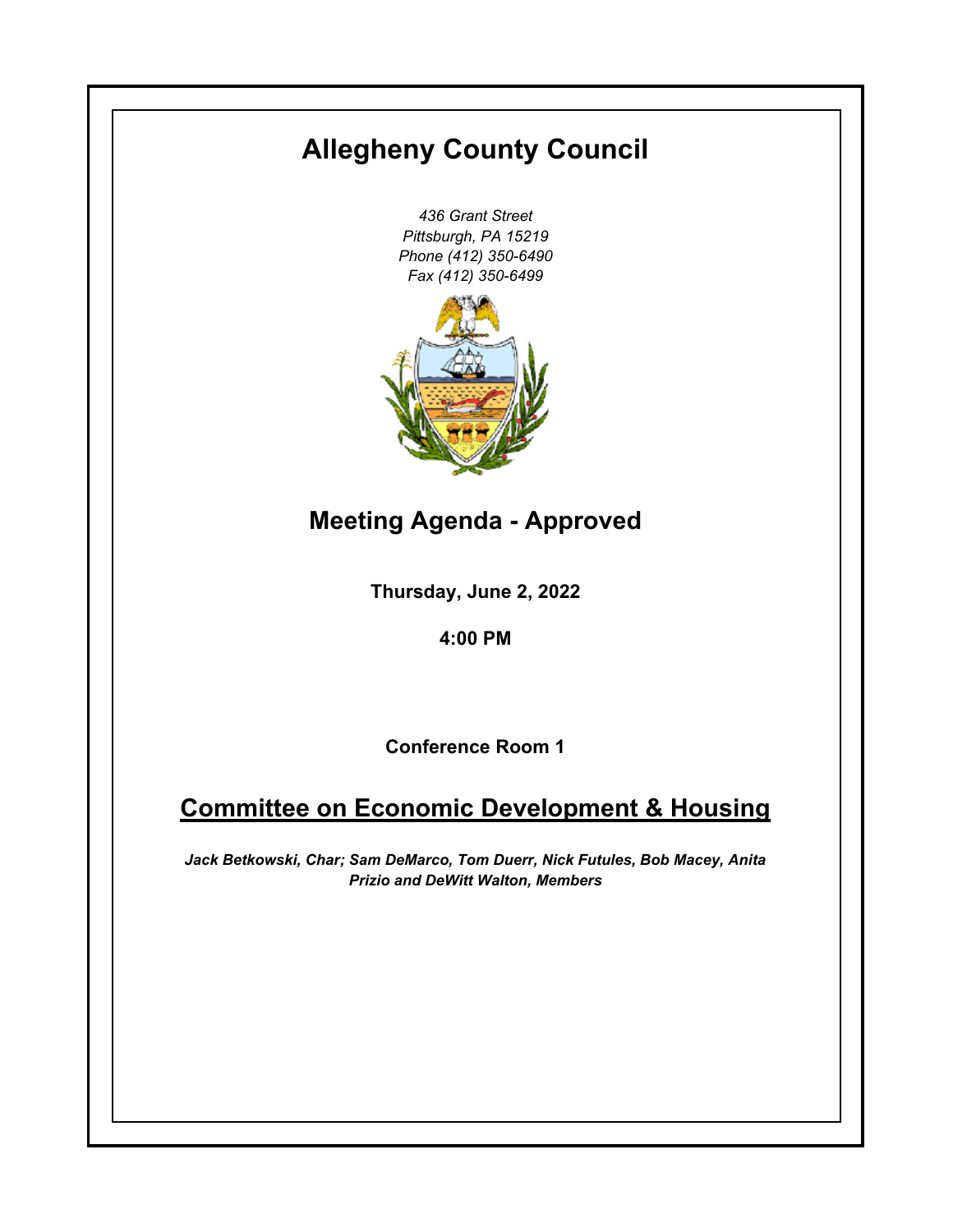# **Allegheny County Council**

*436 Grant Street Pittsburgh, PA 15219 Phone (412) 350-6490 Fax (412) 350-6499*



**Meeting Agenda - Approved**

**Thursday, June 2, 2022**

**4:00 PM**

**Conference Room 1**

# **Committee on Economic Development & Housing**

*Jack Betkowski, Char; Sam DeMarco, Tom Duerr, Nick Futules, Bob Macey, Anita Prizio and DeWitt Walton, Members*